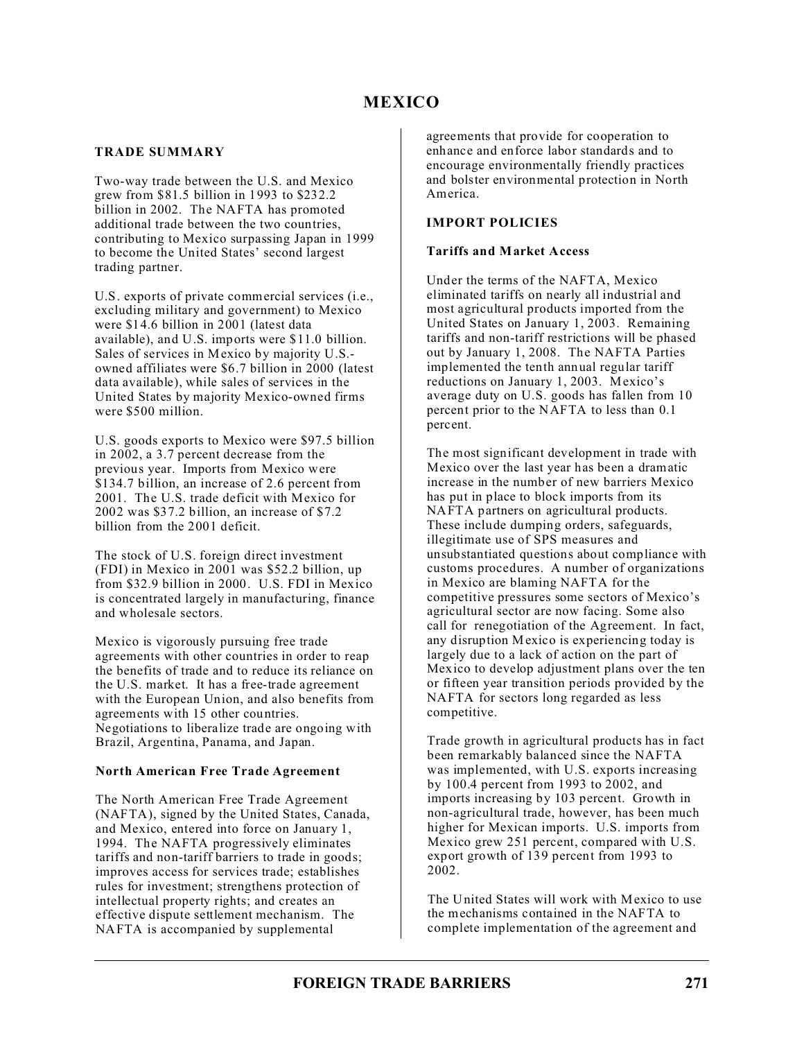## **TRADE SUMMARY**

Two-way trade between the U.S. and Mexico grew from \$81.5 billion in 1993 to \$232.2 billion in 2002. The NAFTA has promoted additional trade between the two countries, contributing to Mexico surpassing Japan in 1999 to become the United States' second largest trading partner.

U.S. exports of private commercial services (i.e., excluding military and government) to Mexico were \$14.6 billion in 2001 (latest data available), and U.S. imports were \$11.0 billion. Sales of services in Mexico by majority U.S. owned affiliates were \$6.7 billion in 2000 (latest data available), while sales of services in the United States by majority Mexico-owned firms were \$500 million.

U.S. goods exports to Mexico were \$97.5 billion in 2002, a 3.7 percent decrease from the previous year. Imports from Mexico were \$134.7 billion, an increase of 2.6 percent from 2001. The U.S. trade deficit with Mexico for 2002 was \$37.2 billion, an increase of \$7.2 billion from the 2001 deficit.

The stock of U.S. foreign direct investment (FDI) in Mexico in 2001 was \$52.2 billion, up from \$32.9 billion in 2000. U.S. FDI in Mexico is concentrated largely in manufacturing, finance and wholesale sectors.

Mexico is vigorously pursuing free trade agreements with other countries in order to reap the benefits of trade and to reduce its reliance on the U.S. market. It has a free-trade agreement with the European Union, and also benefits from agreements with 15 other countries. Negotiations to liberalize trade are ongoing with Brazil, Argentina, Panama, and Japan.

## **North American Free Trade Agreement**

The North American Free Trade Agreement (NAFTA), signed by the United States, Canada, and Mexico, entered into force on January 1, 1994. The NAFTA progressively eliminates tariffs and non-tariff barriers to trade in goods; improves access for services trade; establishes rules for investment; strengthens protection of intellectual property rights; and creates an effective dispute settlement mechanism. The NAFTA is accompanied by supplemental

agreements that provide for cooperation to enhance and enforce labor standards and to encourage environmentally friendly practices and bolster environmental protection in North America.

### **IMPORT POLICIES**

### **Tariffs and Market Access**

Under the terms of the NAFTA, Mexico eliminated tariffs on nearly all industrial and most agricultural products imported from the United States on January 1, 2003. Remaining tariffs and non-tariff restrictions will be phased out by January 1, 2008. The NAFTA Parties implemented the tenth annual regular tariff reductions on January 1, 2003. Mexico's average duty on U.S. goods has fallen from 10 percent prior to the NAFTA to less than 0.1 percent.

The most significant development in trade with Mexico over the last year has been a dramatic increase in the number of new barriers Mexico has put in place to block imports from its NAFTA partners on agricultural products. These include dumping orders, safeguards, illegitimate use of SPS measures and unsubstantiated questions about compliance with customs procedures. A number of organizations in Mexico are blaming NAFTA for the competitive pressures some sectors of Mexico's agricultural sector are now facing. Some also call for renegotiation of the Agreement. In fact, any disruption Mexico is experiencing today is largely due to a lack of action on the part of Mexico to develop adjustment plans over the ten or fifteen year transition periods provided by the NAFTA for sectors long regarded as less competitive.

Trade growth in agricultural products has in fact been remarkably balanced since the NAFTA was implemented, with U.S. exports increasing by 100.4 percent from 1993 to 2002, and imports increasing by 103 percent. Growth in non-agricultural trade, however, has been much higher for Mexican imports. U.S. imports from Mexico grew 251 percent, compared with U.S. export growth of 139 percent from 1993 to 2002.

The United States will work with Mexico to use the mechanisms contained in the NAFTA to complete implementation of the agreement and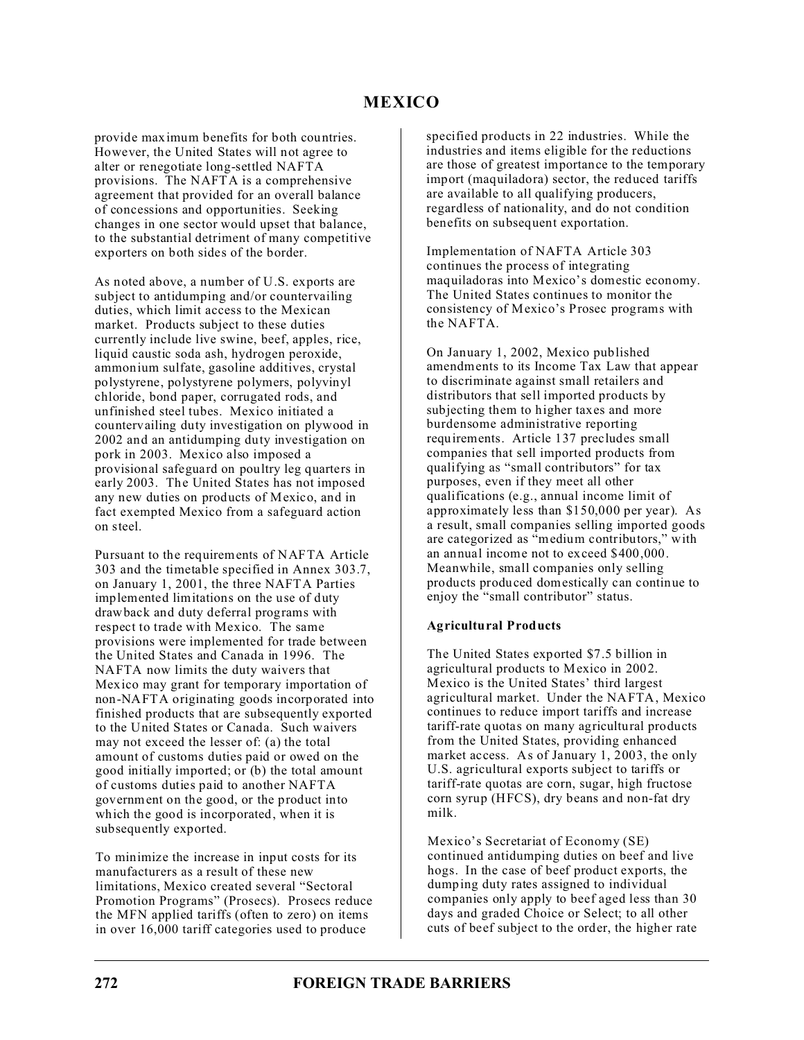provide maximum benefits for both countries. However, the United States will not agree to alter or renegotiate long-settled NAFTA provisions. The NAFTA is a comprehensive agreement that provided for an overall balance of concessions and opportunities. Seeking changes in one sector would upset that balance, to the substantial detriment of many competitive exporters on both sides of the border.

As noted above, a number of U.S. exports are subject to antidumping and/or countervailing duties, which limit access to the Mexican market. Products subject to these duties currently include live swine, beef, apples, rice, liquid caustic soda ash, hydrogen peroxide, ammonium sulfate, gasoline additives, crystal polystyrene, polystyrene polymers, polyvinyl chloride, bond paper, corrugated rods, and unfinished steel tubes. Mexico initiated a countervailing duty investigation on plywood in 2002 and an antidumping duty investigation on pork in 2003. Mexico also imposed a provisional safeguard on poultry leg quarters in early 2003. The United States has not imposed any new duties on products of Mexico, and in fact exempted Mexico from a safeguard action on steel.

Pursuant to the requirements of NAFTA Article 303 and the timetable specified in Annex 303.7, on January 1, 2001, the three NAFTA Parties implemented limitations on the use of duty drawback and duty deferral programs with respect to trade with Mexico. The same provisions were implemented for trade between the United States and Canada in 1996. The NAFTA now limits the duty waivers that Mexico may grant for temporary importation of non-NAFTA originating goods incorporated into finished products that are subsequently exported to the United States or Canada. Such waivers may not exceed the lesser of: (a) the total amount of customs duties paid or owed on the good initially imported; or (b) the total amount of customs duties paid to another NAFTA government on the good, or the product into which the good is incorporated, when it is subsequently exported.

To minimize the increase in input costs for its manufacturers as a result of these new limitations, Mexico created several "Sectoral Promotion Programs" (Prosecs). Prosecs reduce the MFN applied tariffs (often to zero) on items in over 16,000 tariff categories used to produce

specified products in 22 industries. While the industries and items eligible for the reductions are those of greatest importance to the temporary import (maquiladora) sector, the reduced tariffs are available to all qualifying producers, regardless of nationality, and do not condition benefits on subsequent exportation.

Implementation of NAFTA Article 303 continues the process of integrating maquiladoras into Mexico's domestic economy. The United States continues to monitor the consistency of Mexico's Prosec programs with the NAFTA.

On January 1, 2002, Mexico published amendments to its Income Tax Law that appear to discriminate against small retailers and distributors that sell imported products by subjecting them to higher taxes and more burdensome administrative reporting requirements. Article 137 precludes small companies that sell imported products from qualifying as "small contributors" for tax purposes, even if they meet all other qualifications (e.g., annual income limit of approximately less than \$150,000 per year). As a result, small companies selling imported goods are categorized as "medium contributors," with an annual income not to exceed \$400,000. Meanwhile, small companies only selling products produced domestically can continue to enjoy the "small contributor" status.

## **Agricultural Products**

The United States exported \$7.5 billion in agricultural products to Mexico in 2002. Mexico is the United States' third largest agricultural market. Under the NAFTA, Mexico continues to reduce import tariffs and increase tariff-rate quotas on many agricultural products from the United States, providing enhanced market access. As of January 1, 2003, the only U.S. agricultural exports subject to tariffs or tariff-rate quotas are corn, sugar, high fructose corn syrup (HFCS), dry beans and non-fat dry milk.

Mexico's Secretariat of Economy (SE) continued antidumping duties on beef and live hogs. In the case of beef product exports, the dumping duty rates assigned to individual companies only apply to beef aged less than 30 days and graded Choice or Select; to all other cuts of beef subject to the order, the higher rate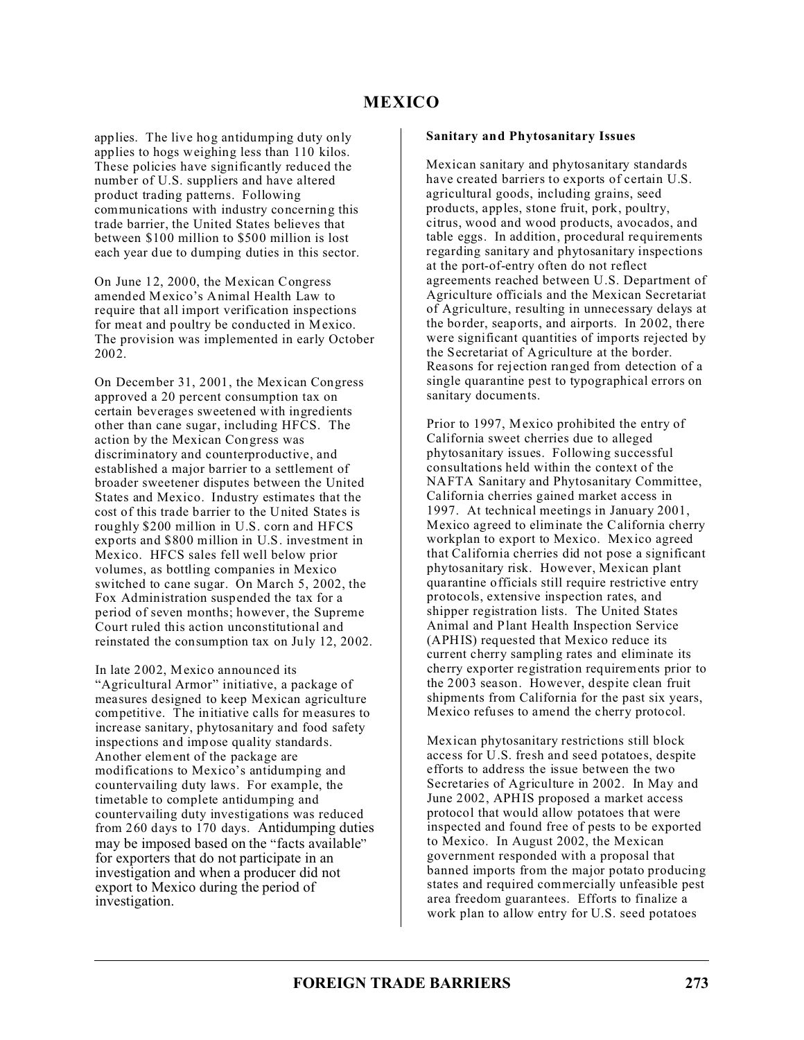applies. The live hog antidumping duty only applies to hogs weighing less than 110 kilos. These policies have significantly reduced the number of U.S. suppliers and have altered product trading patterns. Following communications with industry concerning this trade barrier, the United States believes that between \$100 million to \$500 million is lost each year due to dumping duties in this sector.

On June 12, 2000, the Mexican Congress amended Mexico's Animal Health Law to require that all import verification inspections for meat and poultry be conducted in Mexico. The provision was implemented in early October 2002.

On December 31, 2001, the Mexican Congress approved a 20 percent consumption tax on certain beverages sweetened with ingredients other than cane sugar, including HFCS. The action by the Mexican Congress was discriminatory and counterproductive, and established a major barrier to a settlement of broader sweetener disputes between the United States and Mexico. Industry estimates that the cost of this trade barrier to the United States is roughly \$200 million in U.S. corn and HFCS exports and \$800 million in U.S. investment in Mexico. HFCS sales fell well below prior volumes, as bottling companies in Mexico switched to cane sugar. On March 5, 2002, the Fox Administration suspended the tax for a period of seven months; however, the Supreme Court ruled this action unconstitutional and reinstated the consumption tax on July 12, 2002.

In late 2002, Mexico announced its "Agricultural Armor" initiative, a package of measures designed to keep Mexican agriculture competitive. The initiative calls for measures to increase sanitary, phytosanitary and food safety inspections and impose quality standards. Another element of the package are modifications to Mexico's antidumping and countervailing duty laws. For example, the timetable to complete antidumping and countervailing duty investigations was reduced from 260 days to 170 days. Antidumping duties may be imposed based on the "facts available" for exporters that do not participate in an investigation and when a producer did not export to Mexico during the period of investigation.

### **Sanitary and Phytosanitary Issues**

Mexican sanitary and phytosanitary standards have created barriers to exports of certain U.S. agricultural goods, including grains, seed products, apples, stone fruit, pork, poultry, citrus, wood and wood products, avocados, and table eggs. In addition, procedural requirements regarding sanitary and phytosanitary inspections at the port-of-entry often do not reflect agreements reached between U.S. Department of Agriculture officials and the Mexican Secretariat of Agriculture, resulting in unnecessary delays at the border, seaports, and airports. In 2002, there were significant quantities of imports rejected by the Secretariat of Agriculture at the border. Reasons for rejection ranged from detection of a single quarantine pest to typographical errors on sanitary documents.

Prior to 1997, Mexico prohibited the entry of California sweet cherries due to alleged phytosanitary issues. Following successful consultations held within the context of the NAFTA Sanitary and Phytosanitary Committee, California cherries gained market access in 1997. At technical meetings in January 2001, Mexico agreed to eliminate the California cherry workplan to export to Mexico. Mexico agreed that California cherries did not pose a significant phytosanitary risk. However, Mexican plant quarantine officials still require restrictive entry protocols, extensive inspection rates, and shipper registration lists. The United States Animal and Plant Health Inspection Service (APHIS) requested that Mexico reduce its current cherry sampling rates and eliminate its cherry exporter registration requirements prior to the 2003 season. However, despite clean fruit shipments from California for the past six years, Mexico refuses to amend the cherry protocol.

Mexican phytosanitary restrictions still block access for U.S. fresh and seed potatoes, despite efforts to address the issue between the two Secretaries of Agriculture in 2002. In May and June 2002, APHIS proposed a market access protocol that would allow potatoes that were inspected and found free of pests to be exported to Mexico. In August 2002, the Mexican government responded with a proposal that banned imports from the major potato producing states and required commercially unfeasible pest area freedom guarantees. Efforts to finalize a work plan to allow entry for U.S. seed potatoes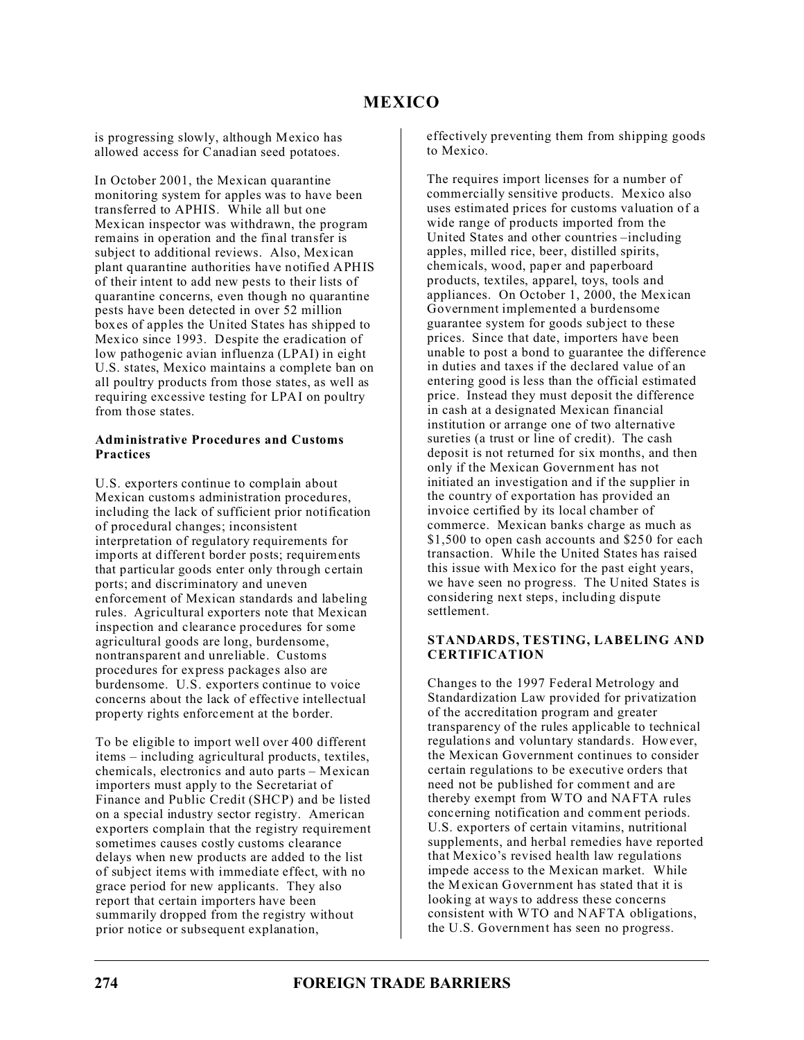is progressing slowly, although Mexico has allowed access for Canadian seed potatoes.

In October 2001, the Mexican quarantine monitoring system for apples was to have been transferred to APHIS. While all but one Mexican inspector was withdrawn, the program remains in operation and the final transfer is subject to additional reviews. Also, Mexican plant quarantine authorities have notified APHIS of their intent to add new pests to their lists of quarantine concerns, even though no quarantine pests have been detected in over 52 million boxes of apples the United States has shipped to Mexico since 1993. Despite the eradication of low pathogenic avian influenza (LPAI) in eight U.S. states, Mexico maintains a complete ban on all poultry products from those states, as well as requiring excessive testing for LPAI on poultry from those states.

### **Administrative Procedures and Customs Practices**

U.S. exporters continue to complain about Mexican customs administration procedures, including the lack of sufficient prior notification of procedural changes; inconsistent interpretation of regulatory requirements for imports at different border posts; requirements that particular goods enter only through certain ports; and discriminatory and uneven enforcement of Mexican standards and labeling rules. Agricultural exporters note that Mexican inspection and clearance procedures for some agricultural goods are long, burdensome, nontransparent and unreliable. Customs procedures for express packages also are burdensome. U.S. exporters continue to voice concerns about the lack of effective intellectual property rights enforcement at the border.

To be eligible to import well over 400 different items – including agricultural products, textiles, chemicals, electronics and auto parts – Mexican importers must apply to the Secretariat of Finance and Public Credit (SHCP) and be listed on a special industry sector registry. American exporters complain that the registry requirement sometimes causes costly customs clearance delays when new products are added to the list of subject items with immediate effect, with no grace period for new applicants. They also report that certain importers have been summarily dropped from the registry without prior notice or subsequent explanation,

effectively preventing them from shipping goods to Mexico.

The requires import licenses for a number of commercially sensitive products. Mexico also uses estimated prices for customs valuation of a wide range of products imported from the United States and other countries –including apples, milled rice, beer, distilled spirits, chemicals, wood, paper and paperboard products, textiles, apparel, toys, tools and appliances. On October 1, 2000, the Mexican Government implemented a burdensome guarantee system for goods subject to these prices. Since that date, importers have been unable to post a bond to guarantee the difference in duties and taxes if the declared value of an entering good is less than the official estimated price. Instead they must deposit the difference in cash at a designated Mexican financial institution or arrange one of two alternative sureties (a trust or line of credit). The cash deposit is not returned for six months, and then only if the Mexican Government has not initiated an investigation and if the supplier in the country of exportation has provided an invoice certified by its local chamber of commerce. Mexican banks charge as much as \$1,500 to open cash accounts and \$250 for each transaction. While the United States has raised this issue with Mexico for the past eight years, we have seen no progress. The United States is considering next steps, including dispute settlement.

## **STANDARDS, TESTING, LABELING AND CERTIFICATION**

Changes to the 1997 Federal Metrology and Standardization Law provided for privatization of the accreditation program and greater transparency of the rules applicable to technical regulations and voluntary standards. However, the Mexican Government continues to consider certain regulations to be executive orders that need not be published for comment and are thereby exempt from WTO and NAFTA rules concerning notification and comment periods. U.S. exporters of certain vitamins, nutritional supplements, and herbal remedies have reported that Mexico's revised health law regulations impede access to the Mexican market. While the Mexican Government has stated that it is looking at ways to address these concerns consistent with WTO and NAFTA obligations, the U.S. Government has seen no progress.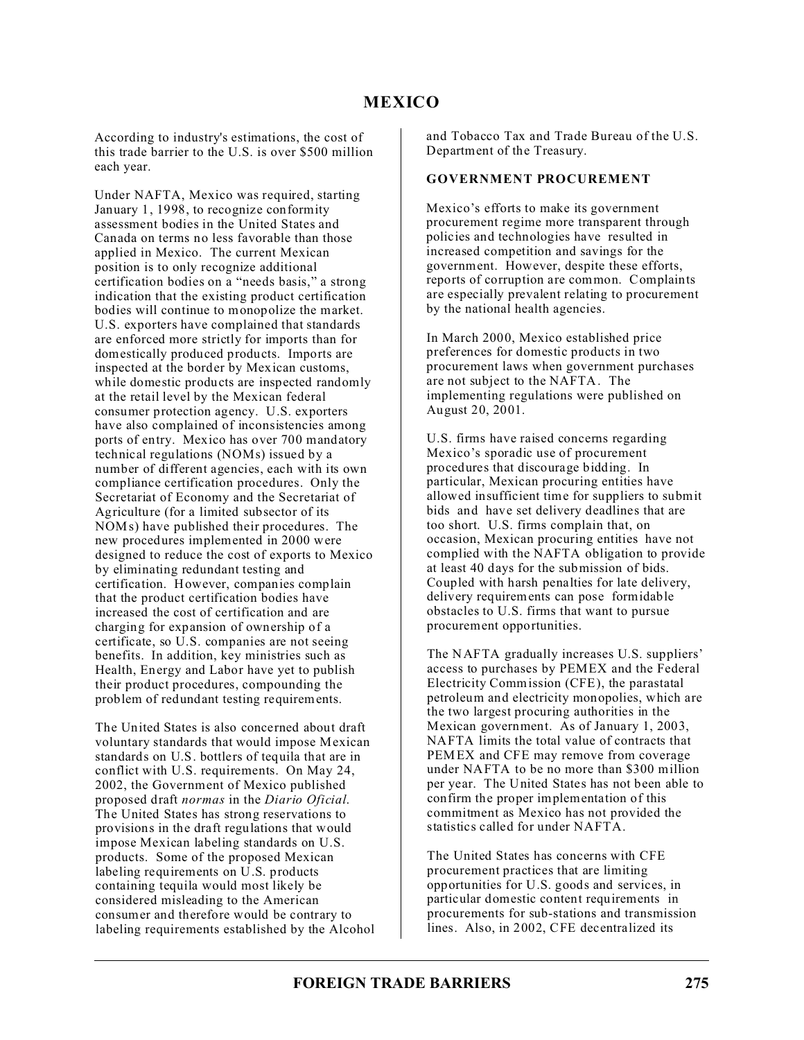According to industry's estimations, the cost of this trade barrier to the U.S. is over \$500 million each year.

Under NAFTA, Mexico was required, starting January 1, 1998, to recognize conformity assessment bodies in the United States and Canada on terms no less favorable than those applied in Mexico. The current Mexican position is to only recognize additional certification bodies on a "needs basis," a strong indication that the existing product certification bodies will continue to monopolize the market. U.S. exporters have complained that standards are enforced more strictly for imports than for domestically produced products. Imports are inspected at the border by Mexican customs, while domestic products are inspected randomly at the retail level by the Mexican federal consumer protection agency. U.S. exporters have also complained of inconsistencies among ports of entry. Mexico has over 700 mandatory technical regulations (NOMs) issued by a number of different agencies, each with its own compliance certification procedures. Only the Secretariat of Economy and the Secretariat of Agriculture (for a limited subsector of its NOMs) have published their procedures. The new procedures implemented in 2000 were designed to reduce the cost of exports to Mexico by eliminating redundant testing and certification. However, companies complain that the product certification bodies have increased the cost of certification and are charging for expansion of ownership of a certificate, so U.S. companies are not seeing benefits. In addition, key ministries such as Health, Energy and Labor have yet to publish their product procedures, compounding the problem of redundant testing requirements.

The United States is also concerned about draft voluntary standards that would impose Mexican standards on U.S. bottlers of tequila that are in conflict with U.S. requirements. On May 24, 2002, the Government of Mexico published proposed draft *normas* in the *Diario Oficial*. The United States has strong reservations to provisions in the draft regulations that would impose Mexican labeling standards on U.S. products. Some of the proposed Mexican labeling requirements on U.S. products containing tequila would most likely be considered misleading to the American consumer and therefore would be contrary to labeling requirements established by the Alcohol and Tobacco Tax and Trade Bureau of the U.S. Department of the Treasury.

### **GOVERNMENT PROCUREMENT**

Mexico's efforts to make its government procurement regime more transparent through policies and technologies have resulted in increased competition and savings for the government. However, despite these efforts, reports of corruption are common. Complaints are especially prevalent relating to procurement by the national health agencies.

In March 2000, Mexico established price preferences for domestic products in two procurement laws when government purchases are not subject to the NAFTA. The implementing regulations were published on August 20, 2001.

U.S. firms have raised concerns regarding Mexico's sporadic use of procurement procedures that discourage bidding. In particular, Mexican procuring entities have allowed insufficient time for suppliers to submit bids and have set delivery deadlines that are too short. U.S. firms complain that, on occasion, Mexican procuring entities have not complied with the NAFTA obligation to provide at least 40 days for the submission of bids. Coupled with harsh penalties for late delivery, delivery requirements can pose formidable obstacles to U.S. firms that want to pursue procurement opportunities.

The NAFTA gradually increases U.S. suppliers' access to purchases by PEMEX and the Federal Electricity Commission (CFE), the parastatal petroleum and electricity monopolies, which are the two largest procuring authorities in the Mexican government. As of January 1, 2003, NAFTA limits the total value of contracts that PEMEX and CFE may remove from coverage under NAFTA to be no more than \$300 million per year. The United States has not been able to confirm the proper implementation of this commitment as Mexico has not provided the statistics called for under NAFTA.

The United States has concerns with CFE procurement practices that are limiting opportunities for U.S. goods and services, in particular domestic content requirements in procurements for sub-stations and transmission lines. Also, in 2002, CFE decentralized its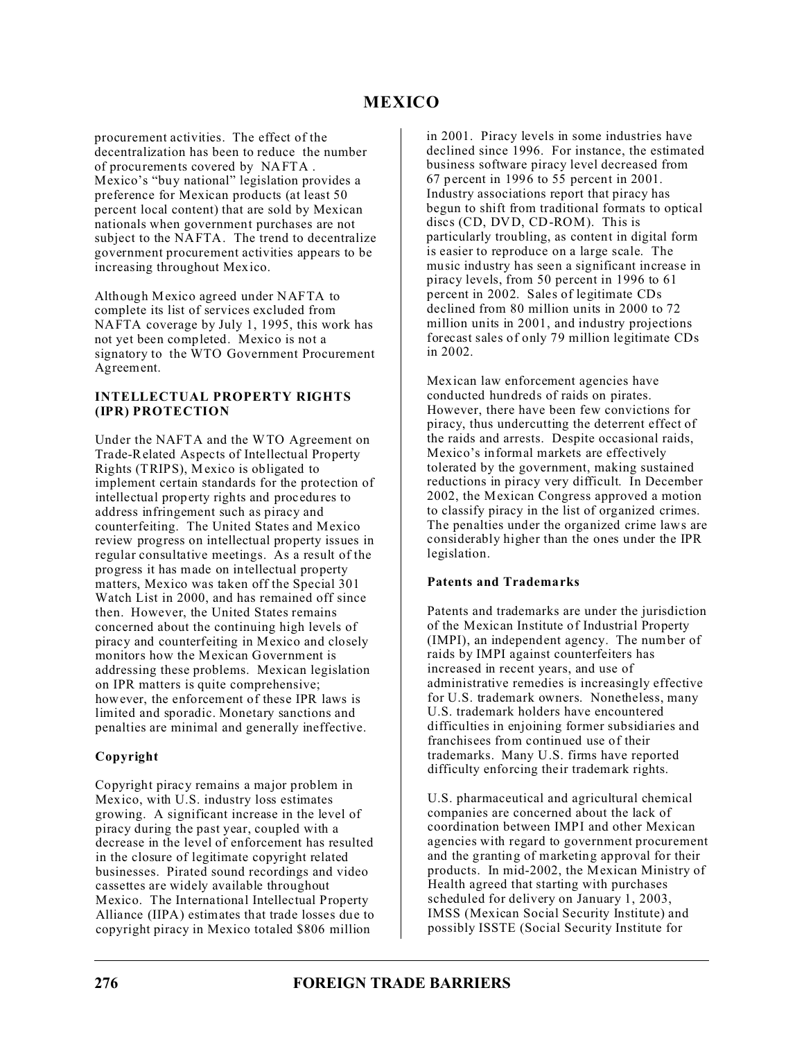procurement activities. The effect of the decentralization has been to reduce the number of procurements covered by NAFTA . Mexico's "buy national" legislation provides a preference for Mexican products (at least 50 percent local content) that are sold by Mexican nationals when government purchases are not subject to the NAFTA. The trend to decentralize government procurement activities appears to be increasing throughout Mexico.

Although Mexico agreed under NAFTA to complete its list of services excluded from NAFTA coverage by July 1, 1995, this work has not yet been completed. Mexico is not a signatory to the WTO Government Procurement Agreement.

### **INTELLECTUAL PROPERTY RIGHTS (IPR) PROTECTION**

Under the NAFTA and the WTO Agreement on Trade-Related Aspects of Intellectual Property Rights (TRIPS), Mexico is obligated to implement certain standards for the protection of intellectual property rights and procedures to address infringement such as piracy and counterfeiting. The United States and Mexico review progress on intellectual property issues in regular consultative meetings. As a result of the progress it has made on intellectual property matters, Mexico was taken off the Special 301 Watch List in 2000, and has remained off since then. However, the United States remains concerned about the continuing high levels of piracy and counterfeiting in Mexico and closely monitors how the Mexican Government is addressing these problems. Mexican legislation on IPR matters is quite comprehensive; however, the enforcement of these IPR laws is limited and sporadic. Monetary sanctions and penalties are minimal and generally ineffective.

## **Copyright**

Copyright piracy remains a major problem in Mexico, with U.S. industry loss estimates growing. A significant increase in the level of piracy during the past year, coupled with a decrease in the level of enforcement has resulted in the closure of legitimate copyright related businesses. Pirated sound recordings and video cassettes are widely available throughout Mexico. The International Intellectual Property Alliance (IIPA) estimates that trade losses due to copyright piracy in Mexico totaled \$806 million

in 2001. Piracy levels in some industries have declined since 1996. For instance, the estimated business software piracy level decreased from 67 percent in 1996 to 55 percent in 2001. Industry associations report that piracy has begun to shift from traditional formats to optical discs (CD, DVD, CD-ROM). This is particularly troubling, as content in digital form is easier to reproduce on a large scale. The music industry has seen a significant increase in piracy levels, from 50 percent in 1996 to 61 percent in 2002. Sales of legitimate CDs declined from 80 million units in 2000 to 72 million units in 2001, and industry projections forecast sales of only 79 million legitimate CDs in 2002.

Mexican law enforcement agencies have conducted hundreds of raids on pirates. However, there have been few convictions for piracy, thus undercutting the deterrent effect of the raids and arrests. Despite occasional raids, Mexico's informal markets are effectively tolerated by the government, making sustained reductions in piracy very difficult. In December 2002, the Mexican Congress approved a motion to classify piracy in the list of organized crimes. The penalties under the organized crime laws are considerably higher than the ones under the IPR legislation.

## **Patents and Trademarks**

Patents and trademarks are under the jurisdiction of the Mexican Institute of Industrial Property (IMPI), an independent agency. The number of raids by IMPI against counterfeiters has increased in recent years, and use of administrative remedies is increasingly effective for U.S. trademark owners. Nonetheless, many U.S. trademark holders have encountered difficulties in enjoining former subsidiaries and franchisees from continued use of their trademarks. Many U.S. firms have reported difficulty enforcing their trademark rights.

U.S. pharmaceutical and agricultural chemical companies are concerned about the lack of coordination between IMPI and other Mexican agencies with regard to government procurement and the granting of marketing approval for their products. In mid-2002, the Mexican Ministry of Health agreed that starting with purchases scheduled for delivery on January 1, 2003, IMSS (Mexican Social Security Institute) and possibly ISSTE (Social Security Institute for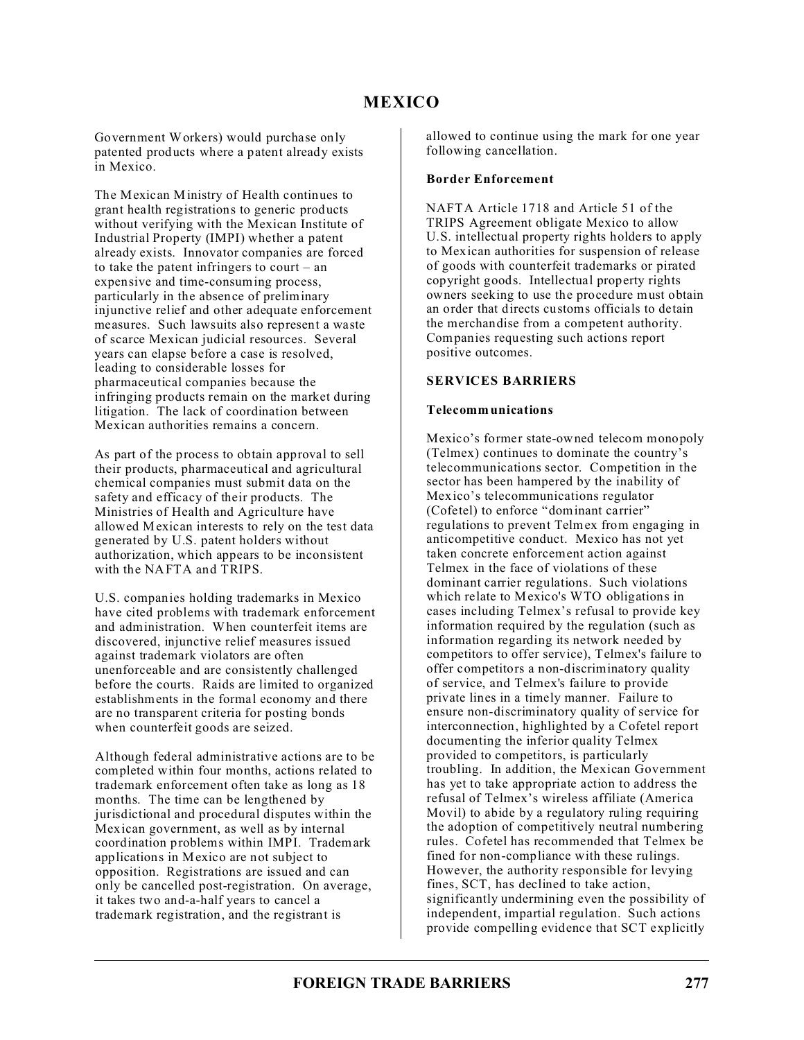Government Workers) would purchase only patented products where a patent already exists in Mexico.

The Mexican Ministry of Health continues to grant health registrations to generic products without verifying with the Mexican Institute of Industrial Property (IMPI) whether a patent already exists. Innovator companies are forced to take the patent infringers to court – an expensive and time-consuming process, particularly in the absence of preliminary injunctive relief and other adequate enforcement measures. Such lawsuits also represent a waste of scarce Mexican judicial resources. Several years can elapse before a case is resolved, leading to considerable losses for pharmaceutical companies because the infringing products remain on the market during litigation. The lack of coordination between Mexican authorities remains a concern.

As part of the process to obtain approval to sell their products, pharmaceutical and agricultural chemical companies must submit data on the safety and efficacy of their products. The Ministries of Health and Agriculture have allowed Mexican interests to rely on the test data generated by U.S. patent holders without authorization, which appears to be inconsistent with the NAFTA and TRIPS.

U.S. companies holding trademarks in Mexico have cited problems with trademark enforcement and administration. When counterfeit items are discovered, injunctive relief measures issued against trademark violators are often unenforceable and are consistently challenged before the courts. Raids are limited to organized establishments in the formal economy and there are no transparent criteria for posting bonds when counterfeit goods are seized.

Although federal administrative actions are to be completed within four months, actions related to trademark enforcement often take as long as 18 months. The time can be lengthened by jurisdictional and procedural disputes within the Mexican government, as well as by internal coordination problems within IMPI. Trademark applications in Mexico are not subject to opposition. Registrations are issued and can only be cancelled post-registration. On average, it takes two and-a-half years to cancel a trademark registration, and the registrant is

allowed to continue using the mark for one year following cancellation.

#### **Border Enforcement**

NAFTA Article 1718 and Article 51 of the TRIPS Agreement obligate Mexico to allow U.S. intellectual property rights holders to apply to Mexican authorities for suspension of release of goods with counterfeit trademarks or pirated copyright goods. Intellectual property rights owners seeking to use the procedure must obtain an order that directs customs officials to detain the merchandise from a competent authority. Companies requesting such actions report positive outcomes.

#### **SERVICES BARRIERS**

#### **Telecommunications**

Mexico's former state-owned telecom monopoly (Telmex) continues to dominate the country's telecommunications sector. Competition in the sector has been hampered by the inability of Mexico's telecommunications regulator (Cofetel) to enforce "dominant carrier" regulations to prevent Telmex from engaging in anticompetitive conduct. Mexico has not yet taken concrete enforcement action against Telmex in the face of violations of these dominant carrier regulations. Such violations which relate to Mexico's WTO obligations in cases including Telmex's refusal to provide key information required by the regulation (such as information regarding its network needed by competitors to offer service), Telmex's failure to offer competitors a non-discriminatory quality of service, and Telmex's failure to provide private lines in a timely manner. Failure to ensure non-discriminatory quality of service for interconnection, highlighted by a Cofetel report documenting the inferior quality Telmex provided to competitors, is particularly troubling. In addition, the Mexican Government has yet to take appropriate action to address the refusal of Telmex's wireless affiliate (America Movil) to abide by a regulatory ruling requiring the adoption of competitively neutral numbering rules. Cofetel has recommended that Telmex be fined for non-compliance with these rulings. However, the authority responsible for levying fines, SCT, has declined to take action, significantly undermining even the possibility of independent, impartial regulation. Such actions provide compelling evidence that SCT explicitly